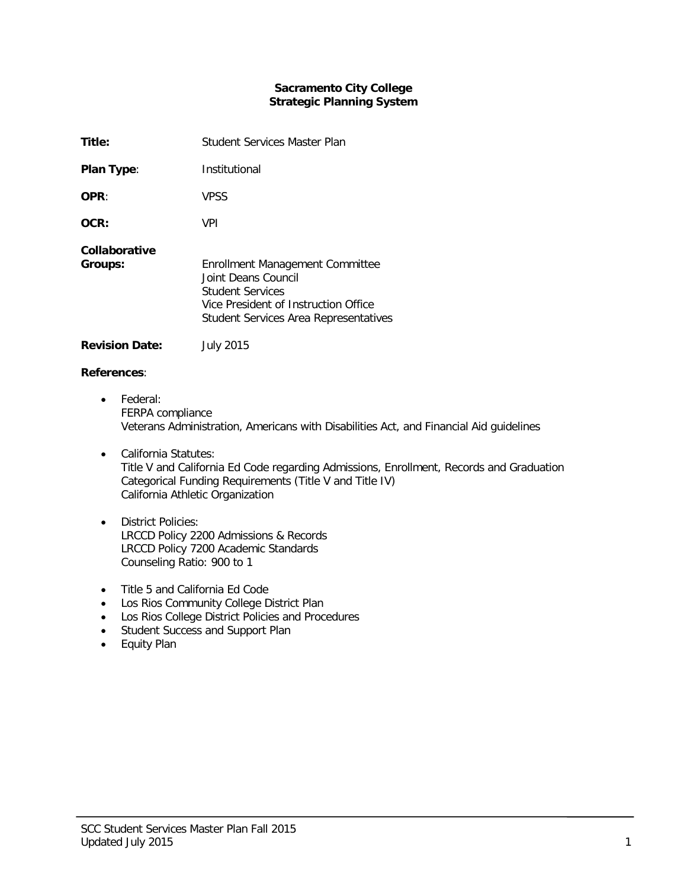## **Sacramento City College Strategic Planning System**

| Title:                   | Student Services Master Plan                                                                                                                                       |
|--------------------------|--------------------------------------------------------------------------------------------------------------------------------------------------------------------|
| <b>Plan Type:</b>        | Institutional                                                                                                                                                      |
| OPR:                     | <b>VPSS</b>                                                                                                                                                        |
| OCR:                     | <b>VPI</b>                                                                                                                                                         |
| Collaborative<br>Groups: | Enrollment Management Committee<br>Joint Deans Council<br><b>Student Services</b><br>Vice President of Instruction Office<br>Student Services Area Representatives |

# **Revision Date:** July 2015

## **References**:

- Federal: FERPA compliance Veterans Administration, Americans with Disabilities Act, and Financial Aid guidelines
- California Statutes: Title V and California Ed Code regarding Admissions, Enrollment, Records and Graduation Categorical Funding Requirements (Title V and Title IV) California Athletic Organization
- District Policies: LRCCD Policy 2200 Admissions & Records LRCCD Policy 7200 Academic Standards Counseling Ratio: 900 to 1
- Title 5 and California Ed Code
- Los Rios Community College District Plan
- Los Rios College District Policies and Procedures
- Student Success and Support Plan
- Equity Plan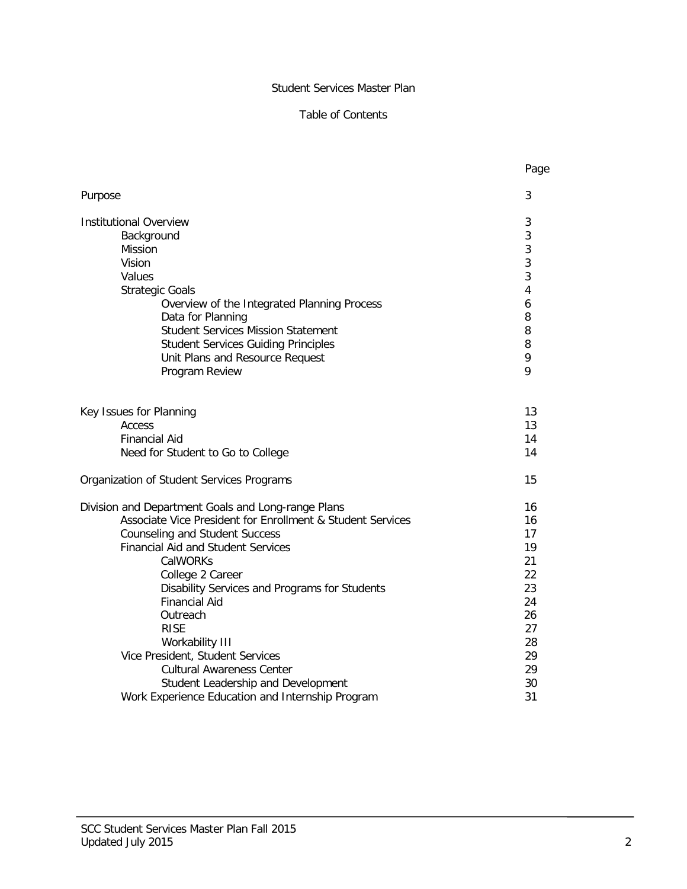## Student Services Master Plan

## Table of Contents

|                                                            | Page |
|------------------------------------------------------------|------|
| Purpose                                                    | 3    |
| <b>Institutional Overview</b>                              | 3    |
| Background                                                 | 3    |
| <b>Mission</b>                                             | 3    |
| Vision                                                     | 3    |
| Values                                                     | 3    |
| <b>Strategic Goals</b>                                     | 4    |
| Overview of the Integrated Planning Process                | 6    |
| Data for Planning                                          | 8    |
| <b>Student Services Mission Statement</b>                  | 8    |
| <b>Student Services Guiding Principles</b>                 | 8    |
| Unit Plans and Resource Request                            | 9    |
| Program Review                                             | 9    |
| Key Issues for Planning                                    | 13   |
| Access                                                     | 13   |
| <b>Financial Aid</b>                                       | 14   |
| Need for Student to Go to College                          | 14   |
| Organization of Student Services Programs                  | 15   |
| Division and Department Goals and Long-range Plans         | 16   |
| Associate Vice President for Enrollment & Student Services | 16   |
| <b>Counseling and Student Success</b>                      | 17   |
| <b>Financial Aid and Student Services</b>                  | 19   |
| CalWORKs                                                   | 21   |
| College 2 Career                                           | 22   |
| Disability Services and Programs for Students              | 23   |
| <b>Financial Aid</b>                                       | 24   |
| Outreach                                                   | 26   |
| <b>RISE</b>                                                | 27   |
| Workability III                                            | 28   |
| Vice President, Student Services                           | 29   |
| <b>Cultural Awareness Center</b>                           | 29   |
| Student Leadership and Development                         | 30   |
| Work Experience Education and Internship Program           | 31   |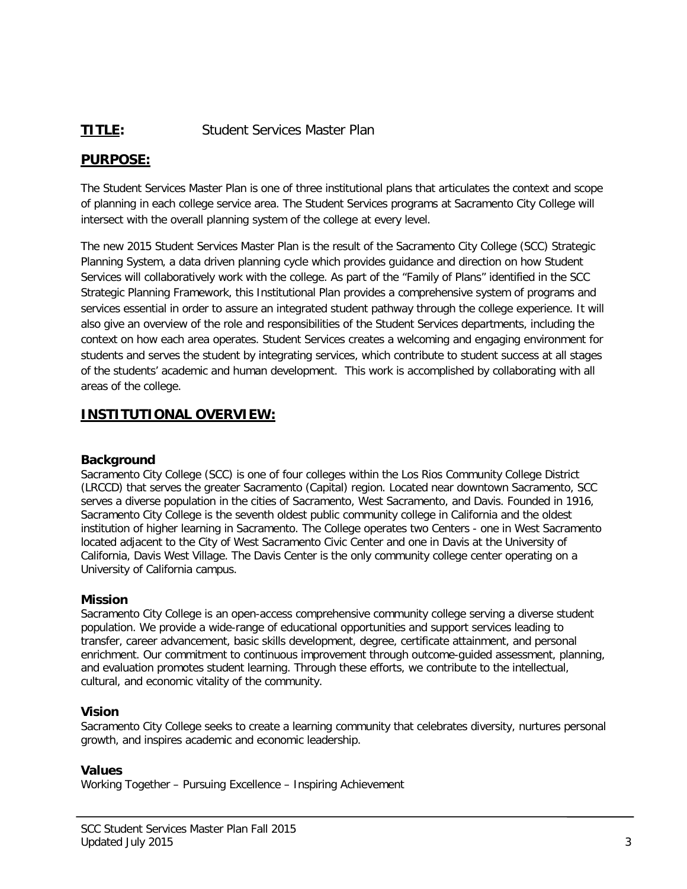# **TITLE:** Student Services Master Plan

# **PURPOSE:**

The Student Services Master Plan is one of three institutional plans that articulates the context and scope of planning in each college service area. The Student Services programs at Sacramento City College will intersect with the overall planning system of the college at every level.

The new 2015 Student Services Master Plan is the result of the Sacramento City College (SCC) Strategic Planning System, a data driven planning cycle which provides guidance and direction on how Student Services will collaboratively work with the college. As part of the "Family of Plans" identified in the SCC Strategic Planning Framework, this Institutional Plan provides a comprehensive system of programs and services essential in order to assure an integrated student pathway through the college experience. It will also give an overview of the role and responsibilities of the Student Services departments, including the context on how each area operates. Student Services creates a welcoming and engaging environment for students and serves the student by integrating services, which contribute to student success at all stages of the students' academic and human development. This work is accomplished by collaborating with all areas of the college.

# **INSTITUTIONAL OVERVIEW:**

## **Background**

Sacramento City College (SCC) is one of four colleges within the Los Rios Community College District (LRCCD) that serves the greater Sacramento (Capital) region. Located near downtown Sacramento, SCC serves a diverse population in the cities of Sacramento, West Sacramento, and Davis. Founded in 1916, Sacramento City College is the seventh oldest public community college in California and the oldest institution of higher learning in Sacramento. The College operates two Centers - one in West Sacramento located adjacent to the City of West Sacramento Civic Center and one in Davis at the University of California, Davis West Village. The Davis Center is the only community college center operating on a University of California campus.

## **Mission**

Sacramento City College is an open-access comprehensive community college serving a diverse student population. We provide a wide-range of educational opportunities and support services leading to transfer, career advancement, basic skills development, degree, certificate attainment, and personal enrichment. Our commitment to continuous improvement through outcome-guided assessment, planning, and evaluation promotes student learning. Through these efforts, we contribute to the intellectual, cultural, and economic vitality of the community.

## **Vision**

Sacramento City College seeks to create a learning community that celebrates diversity, nurtures personal growth, and inspires academic and economic leadership.

## **Values**

Working Together – Pursuing Excellence – Inspiring Achievement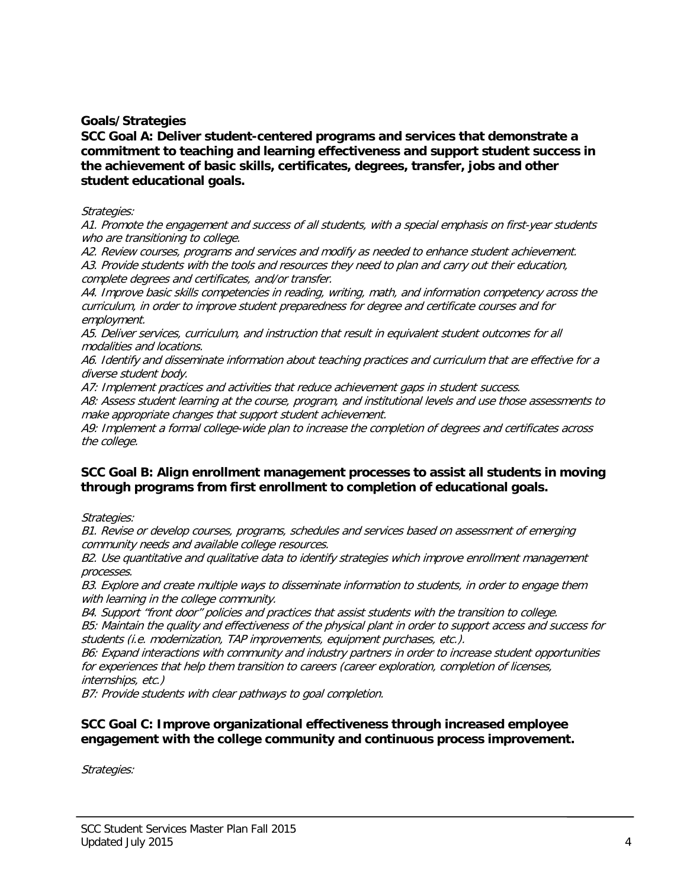**Goals/Strategies**

**SCC Goal A: Deliver student-centered programs and services that demonstrate a commitment to teaching and learning effectiveness and support student success in the achievement of basic skills, certificates, degrees, transfer, jobs and other student educational goals.** 

#### Strategies:

A1. Promote the engagement and success of all students, with a special emphasis on first-year students who are transitioning to college.

A2. Review courses, programs and services and modify as needed to enhance student achievement. A3. Provide students with the tools and resources they need to plan and carry out their education, complete degrees and certificates, and/or transfer.

A4. Improve basic skills competencies in reading, writing, math, and information competency across the curriculum, in order to improve student preparedness for degree and certificate courses and for employment.

A5. Deliver services, curriculum, and instruction that result in equivalent student outcomes for all modalities and locations.

A6. Identify and disseminate information about teaching practices and curriculum that are effective for a diverse student body.

A7: Implement practices and activities that reduce achievement gaps in student success.

A8: Assess student learning at the course, program, and institutional levels and use those assessments to make appropriate changes that support student achievement.

A9: Implement a formal college-wide plan to increase the completion of degrees and certificates across the college.

## **SCC Goal B: Align enrollment management processes to assist all students in moving through programs from first enrollment to completion of educational goals.**

Strategies:

B1. Revise or develop courses, programs, schedules and services based on assessment of emerging community needs and available college resources.

B2. Use quantitative and qualitative data to identify strategies which improve enrollment management processes.

B3. Explore and create multiple ways to disseminate information to students, in order to engage them with learning in the college community.

B4. Support "front door" policies and practices that assist students with the transition to college. B5: Maintain the quality and effectiveness of the physical plant in order to support access and success for students (i.e. modernization, TAP improvements, equipment purchases, etc.).

B6: Expand interactions with community and industry partners in order to increase student opportunities for experiences that help them transition to careers (career exploration, completion of licenses, internships, etc.)

B7: Provide students with clear pathways to goal completion.

## **SCC Goal C: Improve organizational effectiveness through increased employee engagement with the college community and continuous process improvement.**

Strategies: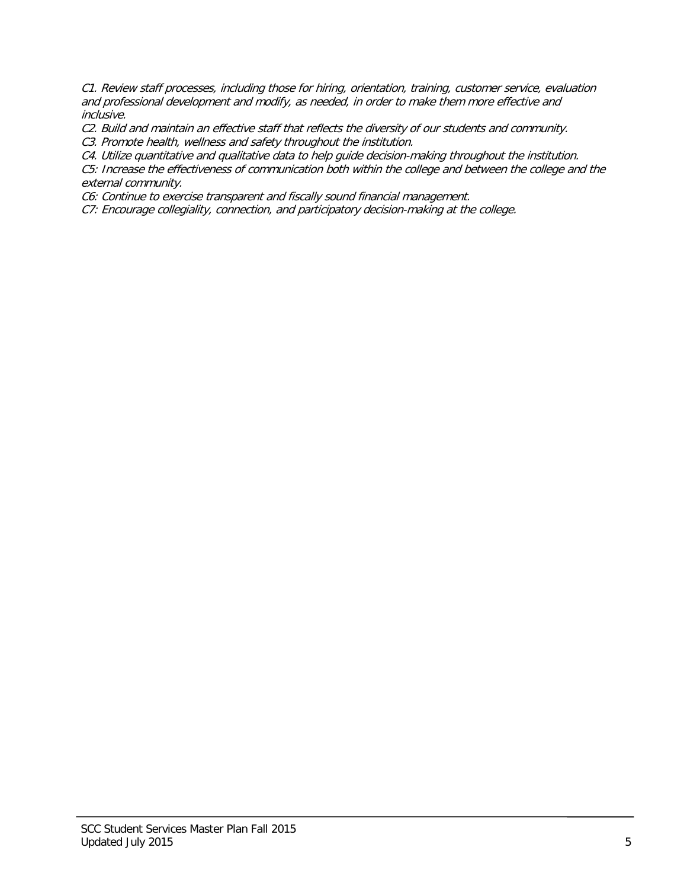C1. Review staff processes, including those for hiring, orientation, training, customer service, evaluation and professional development and modify, as needed, in order to make them more effective and inclusive.

C2. Build and maintain an effective staff that reflects the diversity of our students and community.

C3. Promote health, wellness and safety throughout the institution.

C4. Utilize quantitative and qualitative data to help guide decision-making throughout the institution.

C5: Increase the effectiveness of communication both within the college and between the college and the external community.

C6: Continue to exercise transparent and fiscally sound financial management.

C7: Encourage collegiality, connection, and participatory decision-making at the college.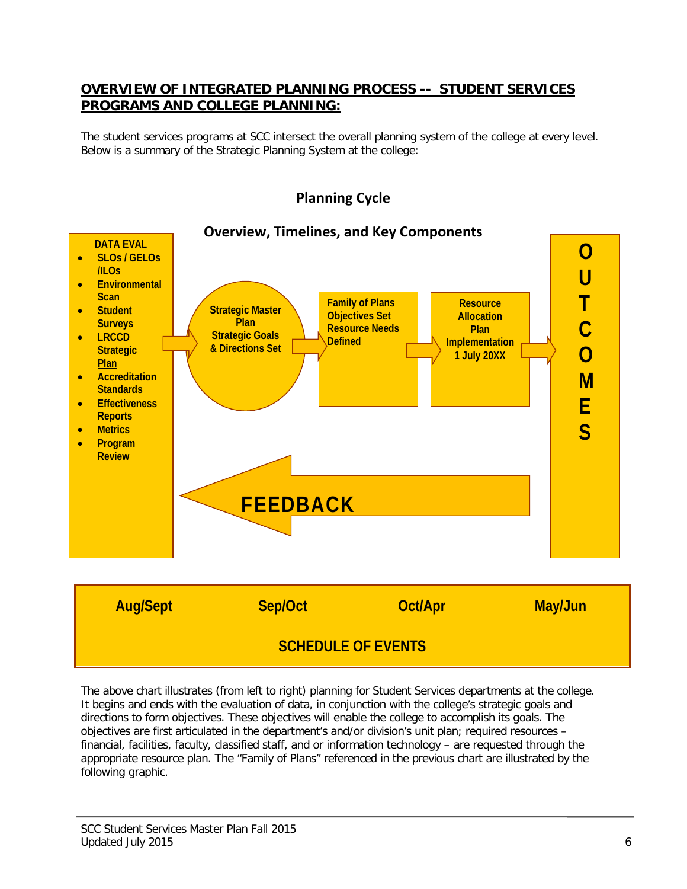# **OVERVIEW OF INTEGRATED PLANNING PROCESS -- STUDENT SERVICES PROGRAMS AND COLLEGE PLANNING:**

The student services programs at SCC intersect the overall planning system of the college at every level. Below is a summary of the Strategic Planning System at the college:



# **Planning Cycle**

**SCHEDULE OF EVENTS**

The above chart illustrates (from left to right) planning for Student Services departments at the college. It begins and ends with the evaluation of data, in conjunction with the college's strategic goals and directions to form objectives. These objectives will enable the college to accomplish its goals. The objectives are first articulated in the department's and/or division's unit plan; required resources – financial, facilities, faculty, classified staff, and or information technology – are requested through the appropriate resource plan. The "Family of Plans" referenced in the previous chart are illustrated by the following graphic.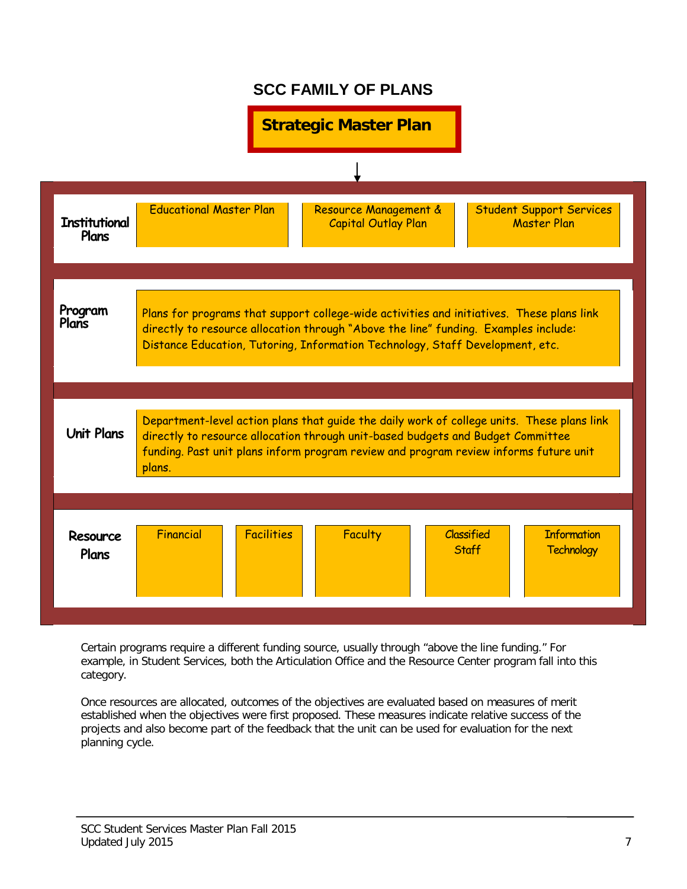# **SCC FAMILY OF PLANS**



Certain programs require a different funding source, usually through "above the line funding." For example, in Student Services, both the Articulation Office and the Resource Center program fall into this category.

Once resources are allocated, outcomes of the objectives are evaluated based on measures of merit established when the objectives were first proposed. These measures indicate relative success of the projects and also become part of the feedback that the unit can be used for evaluation for the next planning cycle.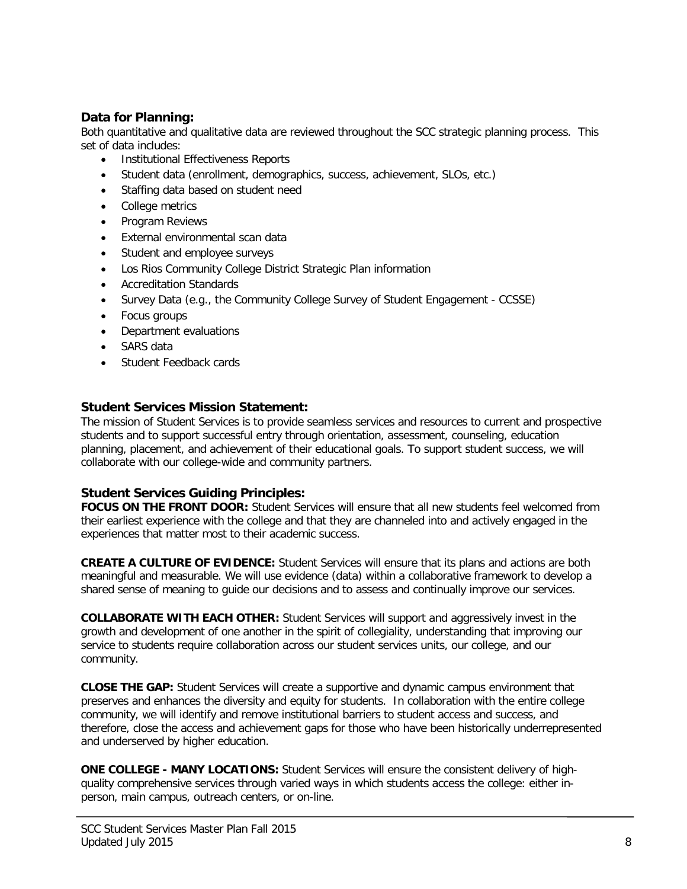# **Data for Planning:**

Both quantitative and qualitative data are reviewed throughout the SCC strategic planning process. This set of data includes:

- Institutional Effectiveness Reports
- Student data (enrollment, demographics, success, achievement, SLOs, etc.)
- Staffing data based on student need
- College metrics
- Program Reviews
- External environmental scan data
- Student and employee surveys
- Los Rios Community College District Strategic Plan information
- Accreditation Standards
- Survey Data (e.g., the Community College Survey of Student Engagement CCSSE)
- Focus groups
- Department evaluations
- SARS data
- Student Feedback cards

## **Student Services Mission Statement:**

The mission of Student Services is to provide seamless services and resources to current and prospective students and to support successful entry through orientation, assessment, counseling, education planning, placement, and achievement of their educational goals. To support student success, we will collaborate with our college-wide and community partners.

## **Student Services Guiding Principles:**

**FOCUS ON THE FRONT DOOR:** Student Services will ensure that all new students feel welcomed from their earliest experience with the college and that they are channeled into and actively engaged in the experiences that matter most to their academic success.

**CREATE A CULTURE OF EVIDENCE:** Student Services will ensure that its plans and actions are both meaningful and measurable. We will use evidence (data) within a collaborative framework to develop a shared sense of meaning to guide our decisions and to assess and continually improve our services.

**COLLABORATE WITH EACH OTHER:** Student Services will support and aggressively invest in the growth and development of one another in the spirit of collegiality, understanding that improving our service to students require collaboration across our student services units, our college, and our community.

**CLOSE THE GAP:** Student Services will create a supportive and dynamic campus environment that preserves and enhances the diversity and equity for students. In collaboration with the entire college community, we will identify and remove institutional barriers to student access and success, and therefore, close the access and achievement gaps for those who have been historically underrepresented and underserved by higher education.

**ONE COLLEGE - MANY LOCATIONS:** Student Services will ensure the consistent delivery of highquality comprehensive services through varied ways in which students access the college: either inperson, main campus, outreach centers, or on-line.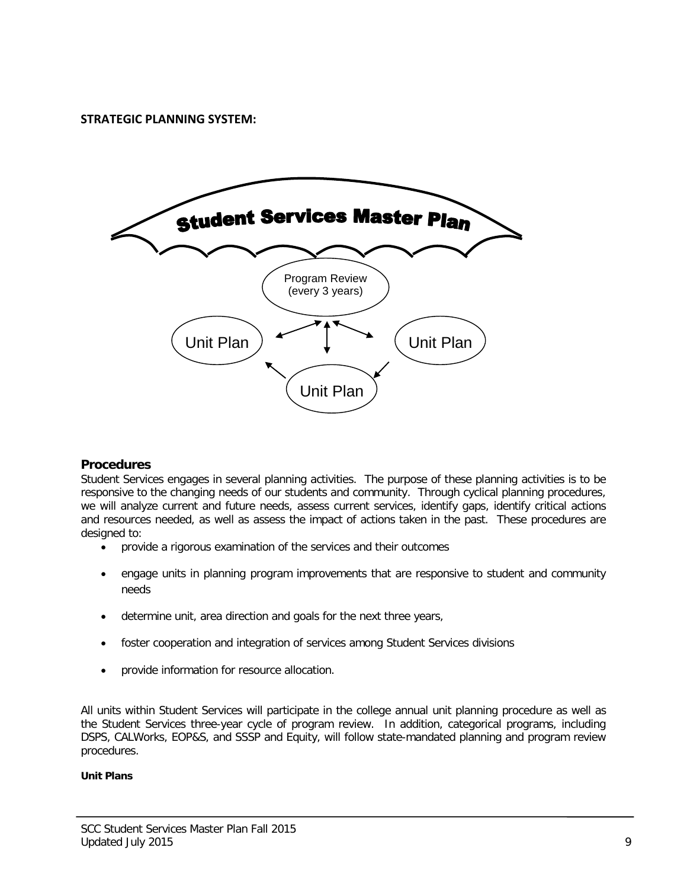**STRATEGIC PLANNING SYSTEM:**



## **Procedures**

Student Services engages in several planning activities. The purpose of these planning activities is to be responsive to the changing needs of our students and community. Through cyclical planning procedures, we will analyze current and future needs, assess current services, identify gaps, identify critical actions and resources needed, as well as assess the impact of actions taken in the past. These procedures are designed to:

- provide a rigorous examination of the services and their outcomes
- engage units in planning program improvements that are responsive to student and community needs
- determine unit, area direction and goals for the next three years,
- foster cooperation and integration of services among Student Services divisions
- provide information for resource allocation.

All units within Student Services will participate in the college annual unit planning procedure as well as the Student Services three-year cycle of program review. In addition, categorical programs, including DSPS, CALWorks, EOP&S, and SSSP and Equity, will follow state-mandated planning and program review procedures.

#### **Unit Plans**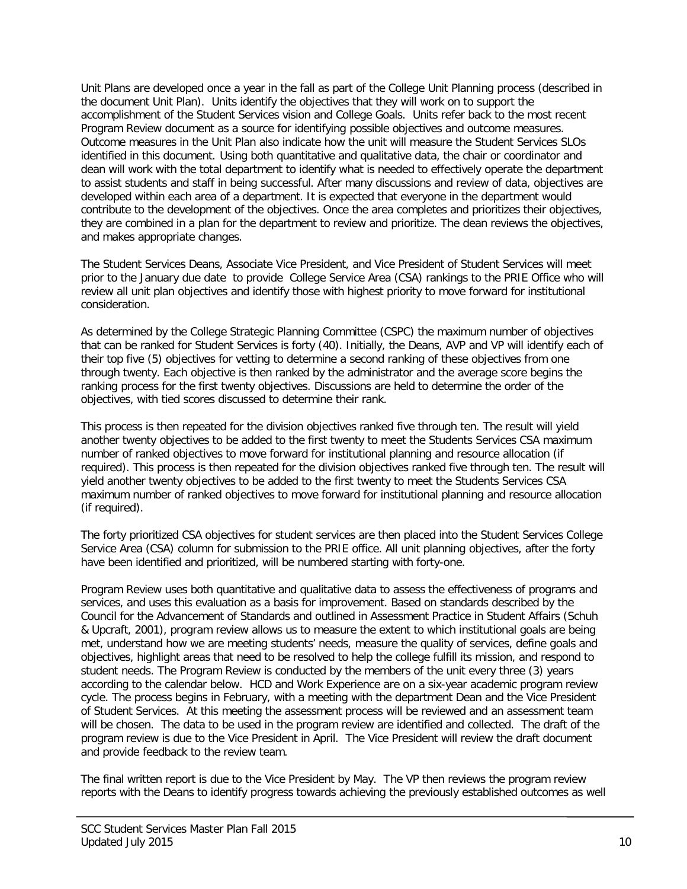Unit Plans are developed once a year in the fall as part of the College Unit Planning process (described in the document Unit Plan). Units identify the objectives that they will work on to support the accomplishment of the Student Services vision and College Goals. Units refer back to the most recent Program Review document as a source for identifying possible objectives and outcome measures. Outcome measures in the Unit Plan also indicate how the unit will measure the Student Services SLOs identified in this document. Using both quantitative and qualitative data, the chair or coordinator and dean will work with the total department to identify what is needed to effectively operate the department to assist students and staff in being successful. After many discussions and review of data, objectives are developed within each area of a department. It is expected that everyone in the department would contribute to the development of the objectives. Once the area completes and prioritizes their objectives, they are combined in a plan for the department to review and prioritize. The dean reviews the objectives, and makes appropriate changes.

The Student Services Deans, Associate Vice President, and Vice President of Student Services will meet prior to the January due date to provide College Service Area (CSA) rankings to the PRIE Office who will review all unit plan objectives and identify those with highest priority to move forward for institutional consideration.

As determined by the College Strategic Planning Committee (CSPC) the maximum number of objectives that can be ranked for Student Services is forty (40). Initially, the Deans, AVP and VP will identify each of their top five (5) objectives for vetting to determine a second ranking of these objectives from one through twenty. Each objective is then ranked by the administrator and the average score begins the ranking process for the first twenty objectives. Discussions are held to determine the order of the objectives, with tied scores discussed to determine their rank.

This process is then repeated for the division objectives ranked five through ten. The result will yield another twenty objectives to be added to the first twenty to meet the Students Services CSA maximum number of ranked objectives to move forward for institutional planning and resource allocation (if required). This process is then repeated for the division objectives ranked five through ten. The result will yield another twenty objectives to be added to the first twenty to meet the Students Services CSA maximum number of ranked objectives to move forward for institutional planning and resource allocation (if required).

The forty prioritized CSA objectives for student services are then placed into the Student Services College Service Area (CSA) column for submission to the PRIE office. All unit planning objectives, after the forty have been identified and prioritized, will be numbered starting with forty-one.

Program Review uses both quantitative and qualitative data to assess the effectiveness of programs and services, and uses this evaluation as a basis for improvement. Based on standards described by the Council for the Advancement of Standards and outlined in Assessment Practice in Student Affairs (Schuh & Upcraft, 2001), program review allows us to measure the extent to which institutional goals are being met, understand how we are meeting students' needs, measure the quality of services, define goals and objectives, highlight areas that need to be resolved to help the college fulfill its mission, and respond to student needs. The Program Review is conducted by the members of the unit every three (3) years according to the calendar below. HCD and Work Experience are on a six-year academic program review cycle. The process begins in February, with a meeting with the department Dean and the Vice President of Student Services. At this meeting the assessment process will be reviewed and an assessment team will be chosen. The data to be used in the program review are identified and collected. The draft of the program review is due to the Vice President in April. The Vice President will review the draft document and provide feedback to the review team.

The final written report is due to the Vice President by May. The VP then reviews the program review reports with the Deans to identify progress towards achieving the previously established outcomes as well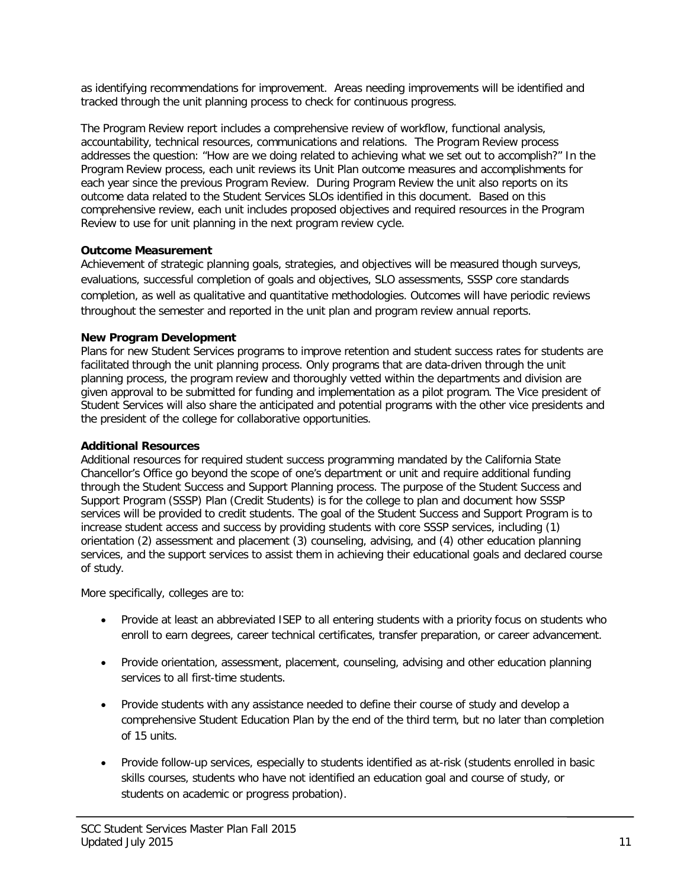as identifying recommendations for improvement. Areas needing improvements will be identified and tracked through the unit planning process to check for continuous progress.

The Program Review report includes a comprehensive review of workflow, functional analysis, accountability, technical resources, communications and relations. The Program Review process addresses the question: "How are we doing related to achieving what we set out to accomplish?" In the Program Review process, each unit reviews its Unit Plan outcome measures and accomplishments for each year since the previous Program Review. During Program Review the unit also reports on its outcome data related to the Student Services SLOs identified in this document. Based on this comprehensive review, each unit includes proposed objectives and required resources in the Program Review to use for unit planning in the next program review cycle.

## **Outcome Measurement**

Achievement of strategic planning goals, strategies, and objectives will be measured though surveys, evaluations, successful completion of goals and objectives, SLO assessments, SSSP core standards completion, as well as qualitative and quantitative methodologies. Outcomes will have periodic reviews throughout the semester and reported in the unit plan and program review annual reports.

## **New Program Development**

Plans for new Student Services programs to improve retention and student success rates for students are facilitated through the unit planning process. Only programs that are data-driven through the unit planning process, the program review and thoroughly vetted within the departments and division are given approval to be submitted for funding and implementation as a pilot program. The Vice president of Student Services will also share the anticipated and potential programs with the other vice presidents and the president of the college for collaborative opportunities.

## **Additional Resources**

Additional resources for required student success programming mandated by the California State Chancellor's Office go beyond the scope of one's department or unit and require additional funding through the Student Success and Support Planning process. The purpose of the Student Success and Support Program (SSSP) Plan (Credit Students) is for the college to plan and document how SSSP services will be provided to credit students. The goal of the Student Success and Support Program is to increase student access and success by providing students with core SSSP services, including (1) orientation (2) assessment and placement (3) counseling, advising, and (4) other education planning services, and the support services to assist them in achieving their educational goals and declared course of study.

More specifically, colleges are to:

- Provide at least an abbreviated ISEP to all entering students with a priority focus on students who enroll to earn degrees, career technical certificates, transfer preparation, or career advancement.
- Provide orientation, assessment, placement, counseling, advising and other education planning services to all first-time students.
- Provide students with any assistance needed to define their course of study and develop a comprehensive Student Education Plan by the end of the third term, but no later than completion of 15 units.
- Provide follow-up services, especially to students identified as at-risk (students enrolled in basic skills courses, students who have not identified an education goal and course of study, or students on academic or progress probation).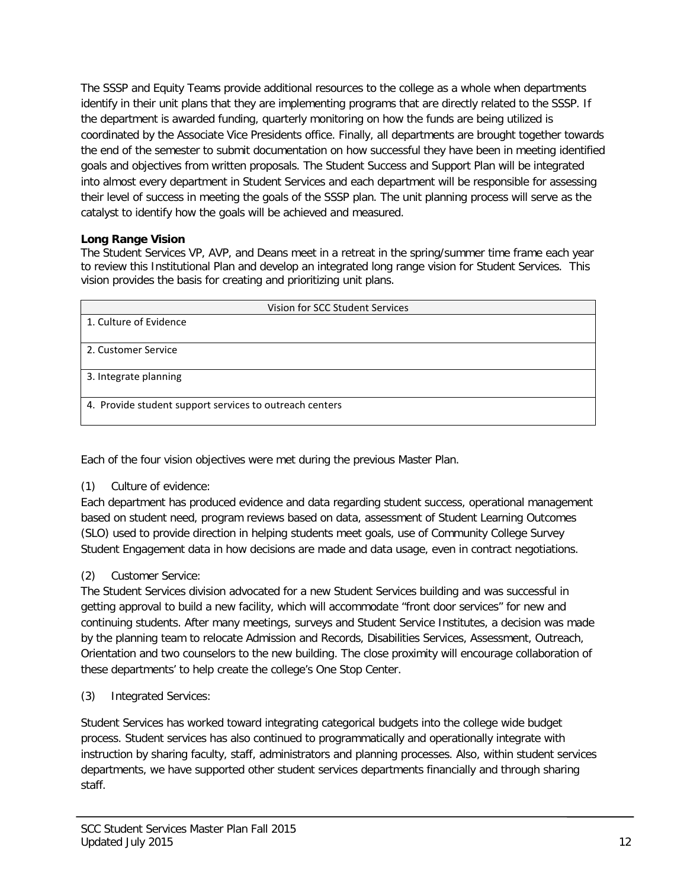The SSSP and Equity Teams provide additional resources to the college as a whole when departments identify in their unit plans that they are implementing programs that are directly related to the SSSP. If the department is awarded funding, quarterly monitoring on how the funds are being utilized is coordinated by the Associate Vice Presidents office. Finally, all departments are brought together towards the end of the semester to submit documentation on how successful they have been in meeting identified goals and objectives from written proposals. The Student Success and Support Plan will be integrated into almost every department in Student Services and each department will be responsible for assessing their level of success in meeting the goals of the SSSP plan. The unit planning process will serve as the catalyst to identify how the goals will be achieved and measured.

## **Long Range Vision**

The Student Services VP, AVP, and Deans meet in a retreat in the spring/summer time frame each year to review this Institutional Plan and develop an integrated long range vision for Student Services. This vision provides the basis for creating and prioritizing unit plans.

| Vision for SCC Student Services                         |  |  |
|---------------------------------------------------------|--|--|
| 1. Culture of Evidence                                  |  |  |
|                                                         |  |  |
| 2. Customer Service                                     |  |  |
| 3. Integrate planning                                   |  |  |
| 4. Provide student support services to outreach centers |  |  |

Each of the four vision objectives were met during the previous Master Plan.

# (1) Culture of evidence:

Each department has produced evidence and data regarding student success, operational management based on student need, program reviews based on data, assessment of Student Learning Outcomes (SLO) used to provide direction in helping students meet goals, use of Community College Survey Student Engagement data in how decisions are made and data usage, even in contract negotiations.

# (2) Customer Service:

The Student Services division advocated for a new Student Services building and was successful in getting approval to build a new facility, which will accommodate "front door services" for new and continuing students. After many meetings, surveys and Student Service Institutes, a decision was made by the planning team to relocate Admission and Records, Disabilities Services, Assessment, Outreach, Orientation and two counselors to the new building. The close proximity will encourage collaboration of these departments' to help create the college's One Stop Center.

(3) Integrated Services:

Student Services has worked toward integrating categorical budgets into the college wide budget process. Student services has also continued to programmatically and operationally integrate with instruction by sharing faculty, staff, administrators and planning processes. Also, within student services departments, we have supported other student services departments financially and through sharing staff.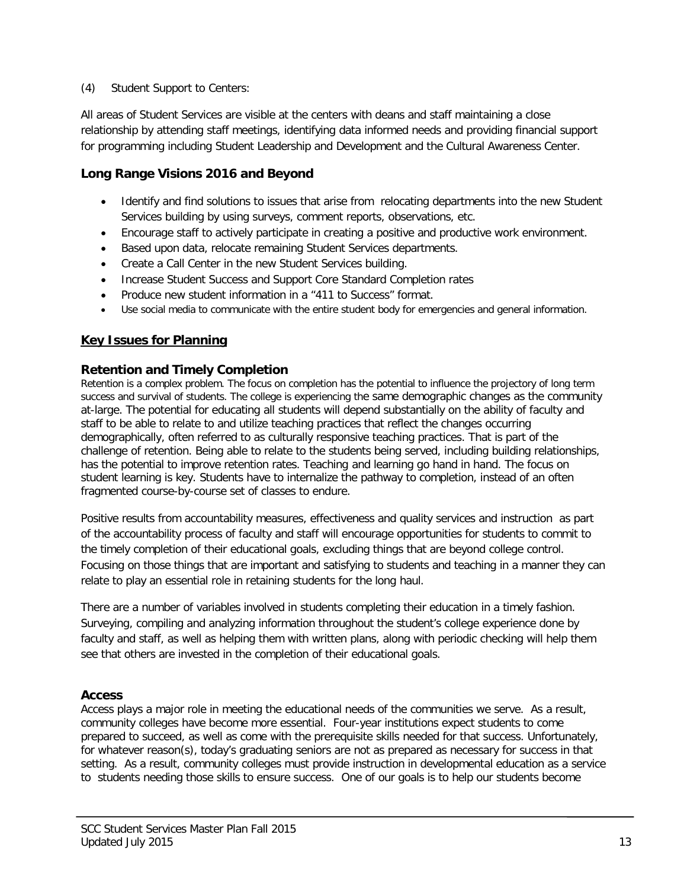## (4) Student Support to Centers:

All areas of Student Services are visible at the centers with deans and staff maintaining a close relationship by attending staff meetings, identifying data informed needs and providing financial support for programming including Student Leadership and Development and the Cultural Awareness Center.

# **Long Range Visions 2016 and Beyond**

- Identify and find solutions to issues that arise from relocating departments into the new Student Services building by using surveys, comment reports, observations, etc.
- Encourage staff to actively participate in creating a positive and productive work environment.
- Based upon data, relocate remaining Student Services departments.
- Create a Call Center in the new Student Services building.
- Increase Student Success and Support Core Standard Completion rates
- Produce new student information in a "411 to Success" format.
- Use social media to communicate with the entire student body for emergencies and general information.

# **Key Issues for Planning**

## **Retention and Timely Completion**

Retention is a complex problem. The focus on completion has the potential to influence the projectory of long term success and survival of students. The college is experiencing the same demographic changes as the community at-large. The potential for educating all students will depend substantially on the ability of faculty and staff to be able to relate to and utilize teaching practices that reflect the changes occurring demographically, often referred to as culturally responsive teaching practices. That is part of the challenge of retention. Being able to relate to the students being served, including building relationships, has the potential to improve retention rates. Teaching and learning go hand in hand. The focus on student learning is key. Students have to internalize the pathway to completion, instead of an often fragmented course-by-course set of classes to endure.

Positive results from accountability measures, effectiveness and quality services and instruction as part of the accountability process of faculty and staff will encourage opportunities for students to commit to the timely completion of their educational goals, excluding things that are beyond college control. Focusing on those things that are important and satisfying to students and teaching in a manner they can relate to play an essential role in retaining students for the long haul.

There are a number of variables involved in students completing their education in a timely fashion. Surveying, compiling and analyzing information throughout the student's college experience done by faculty and staff, as well as helping them with written plans, along with periodic checking will help them see that others are invested in the completion of their educational goals.

## **Access**

Access plays a major role in meeting the educational needs of the communities we serve. As a result, community colleges have become more essential. Four-year institutions expect students to come prepared to succeed, as well as come with the prerequisite skills needed for that success. Unfortunately, for whatever reason(s), today's graduating seniors are not as prepared as necessary for success in that setting. As a result, community colleges must provide instruction in developmental education as a service to students needing those skills to ensure success. One of our goals is to help our students become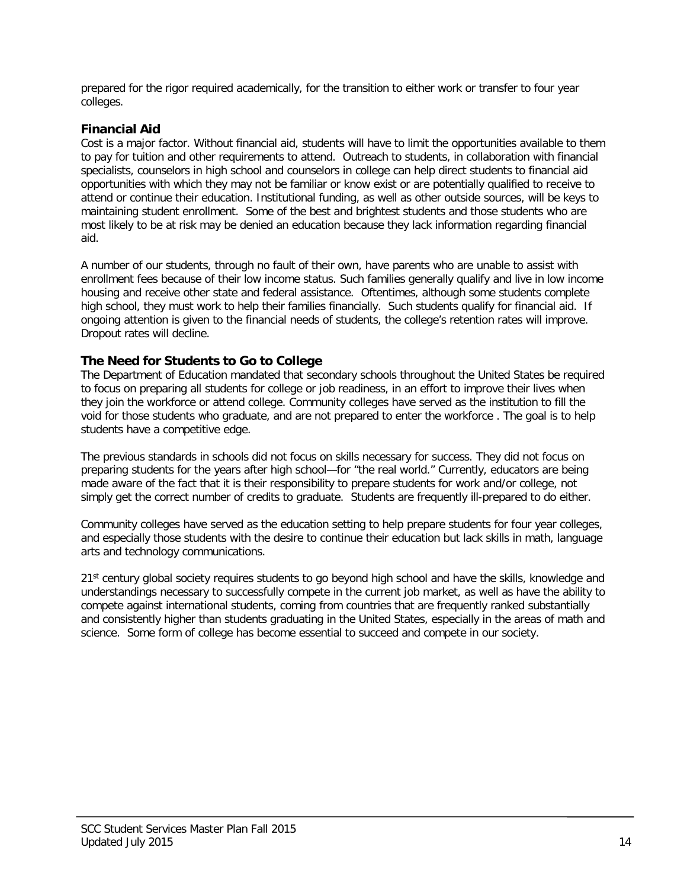prepared for the rigor required academically, for the transition to either work or transfer to four year colleges.

## **Financial Aid**

Cost is a major factor. Without financial aid, students will have to limit the opportunities available to them to pay for tuition and other requirements to attend. Outreach to students, in collaboration with financial specialists, counselors in high school and counselors in college can help direct students to financial aid opportunities with which they may not be familiar or know exist or are potentially qualified to receive to attend or continue their education. Institutional funding, as well as other outside sources, will be keys to maintaining student enrollment. Some of the best and brightest students and those students who are most likely to be at risk may be denied an education because they lack information regarding financial aid.

A number of our students, through no fault of their own, have parents who are unable to assist with enrollment fees because of their low income status. Such families generally qualify and live in low income housing and receive other state and federal assistance. Oftentimes, although some students complete high school, they must work to help their families financially. Such students qualify for financial aid. If ongoing attention is given to the financial needs of students, the college's retention rates will improve. Dropout rates will decline.

# **The Need for Students to Go to College**

The Department of Education mandated that secondary schools throughout the United States be required to focus on preparing all students for college or job readiness, in an effort to improve their lives when they join the workforce or attend college. Community colleges have served as the institution to fill the void for those students who graduate, and are not prepared to enter the workforce . The goal is to help students have a competitive edge.

The previous standards in schools did not focus on skills necessary for success. They did not focus on preparing students for the years after high school—for "the real world." Currently, educators are being made aware of the fact that it is their responsibility to prepare students for work and/or college, not simply get the correct number of credits to graduate. Students are frequently ill-prepared to do either.

Community colleges have served as the education setting to help prepare students for four year colleges, and especially those students with the desire to continue their education but lack skills in math, language arts and technology communications.

21<sup>st</sup> century global society requires students to go beyond high school and have the skills, knowledge and understandings necessary to successfully compete in the current job market, as well as have the ability to compete against international students, coming from countries that are frequently ranked substantially and consistently higher than students graduating in the United States, especially in the areas of math and science. Some form of college has become essential to succeed and compete in our society.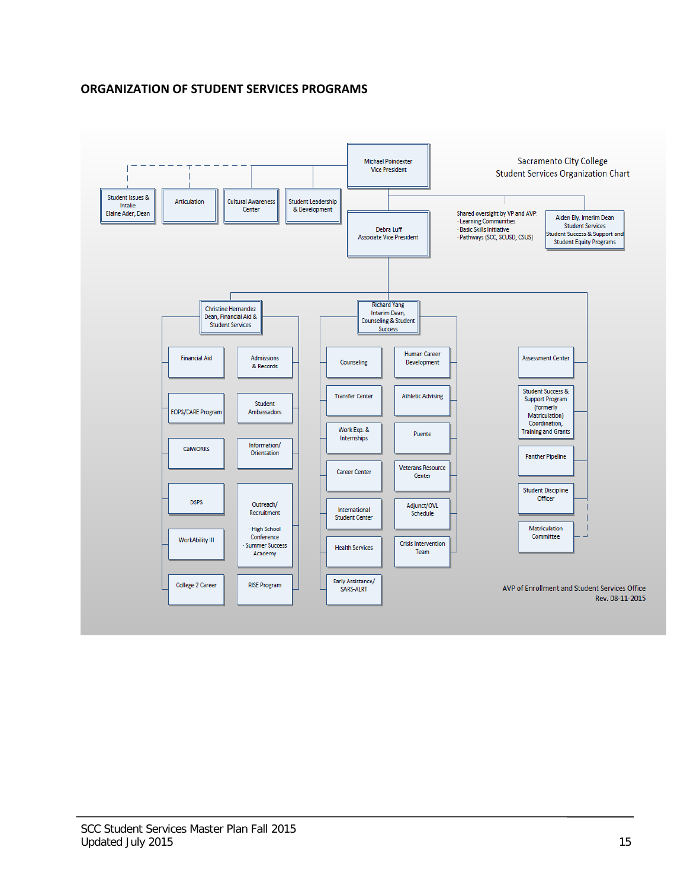# **ORGANIZATION OF STUDENT SERVICES PROGRAMS**

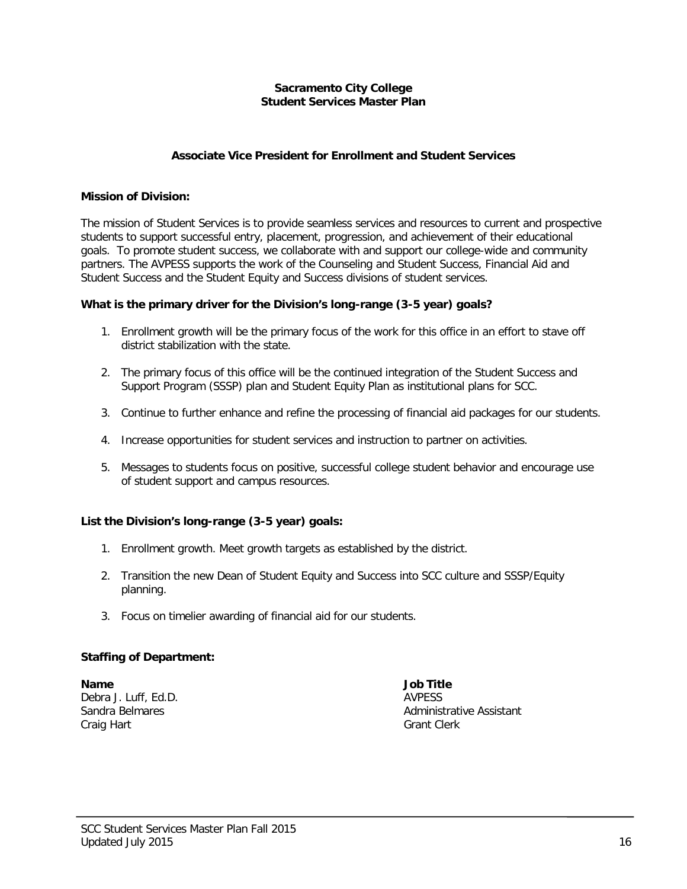## **Sacramento City College Student Services Master Plan**

## **Associate Vice President for Enrollment and Student Services**

#### **Mission of Division:**

The mission of Student Services is to provide seamless services and resources to current and prospective students to support successful entry, placement, progression, and achievement of their educational goals. To promote student success, we collaborate with and support our college-wide and community partners. The AVPESS supports the work of the Counseling and Student Success, Financial Aid and Student Success and the Student Equity and Success divisions of student services.

## **What is the primary driver for the Division's long-range (3-5 year) goals?**

- 1. Enrollment growth will be the primary focus of the work for this office in an effort to stave off district stabilization with the state.
- 2. The primary focus of this office will be the continued integration of the Student Success and Support Program (SSSP) plan and Student Equity Plan as institutional plans for SCC.
- 3. Continue to further enhance and refine the processing of financial aid packages for our students.
- 4. Increase opportunities for student services and instruction to partner on activities.
- 5. Messages to students focus on positive, successful college student behavior and encourage use of student support and campus resources.

## **List the Division's long-range (3-5 year) goals:**

- 1. Enrollment growth. Meet growth targets as established by the district.
- 2. Transition the new Dean of Student Equity and Success into SCC culture and SSSP/Equity planning.
- 3. Focus on timelier awarding of financial aid for our students.

## **Staffing of Department:**

**Name Job Title** Debra J. Luff, Ed.D. **AVPESS** Craig Hart Grant Clerk

Sandra Belmares **Administrative Assistant** Administrative Assistant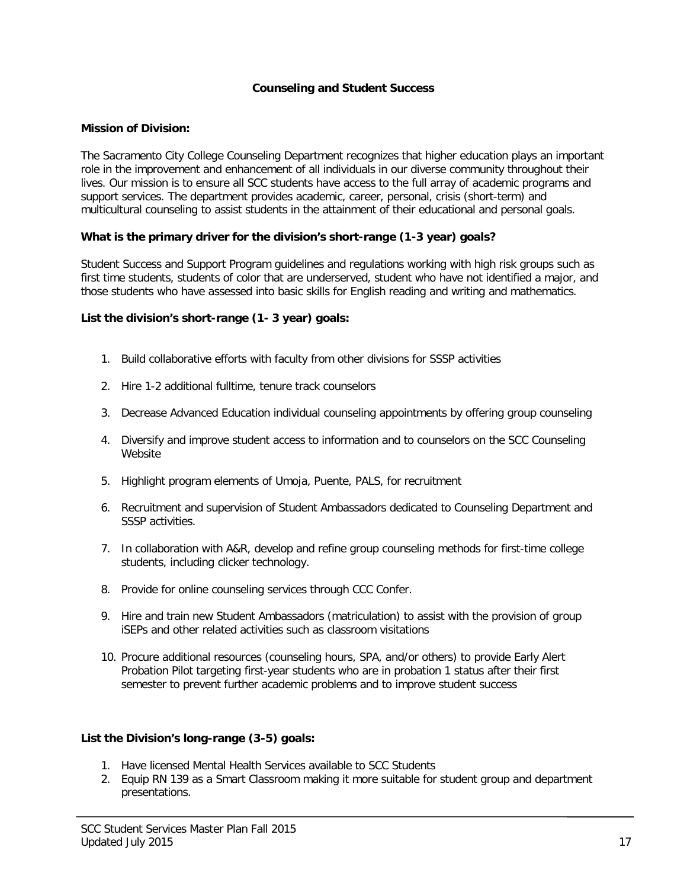## **Counseling and Student Success**

## **Mission of Division:**

The Sacramento City College Counseling Department recognizes that higher education plays an important role in the improvement and enhancement of all individuals in our diverse community throughout their lives. Our mission is to ensure all SCC students have access to the full array of academic programs and support services. The department provides academic, career, personal, crisis (short-term) and multicultural counseling to assist students in the attainment of their educational and personal goals.

## **What is the primary driver for the division's short-range (1-3 year) goals?**

Student Success and Support Program guidelines and regulations working with high risk groups such as first time students, students of color that are underserved, student who have not identified a major, and those students who have assessed into basic skills for English reading and writing and mathematics.

## **List the division's short-range (1- 3 year) goals:**

- 1. Build collaborative efforts with faculty from other divisions for SSSP activities
- 2. Hire 1-2 additional fulltime, tenure track counselors
- 3. Decrease Advanced Education individual counseling appointments by offering group counseling
- 4. Diversify and improve student access to information and to counselors on the SCC Counseling Website
- 5. Highlight program elements of Umoja, Puente, PALS, for recruitment
- 6. Recruitment and supervision of Student Ambassadors dedicated to Counseling Department and SSSP activities.
- 7. In collaboration with A&R, develop and refine group counseling methods for first-time college students, including clicker technology.
- 8. Provide for online counseling services through CCC Confer.
- 9. Hire and train new Student Ambassadors (matriculation) to assist with the provision of group iSEPs and other related activities such as classroom visitations
- 10. Procure additional resources (counseling hours, SPA, and/or others) to provide Early Alert Probation Pilot targeting first-year students who are in probation 1 status after their first semester to prevent further academic problems and to improve student success

## **List the Division's long-range (3-5) goals:**

- 1. Have licensed Mental Health Services available to SCC Students
- 2. Equip RN 139 as a Smart Classroom making it more suitable for student group and department presentations.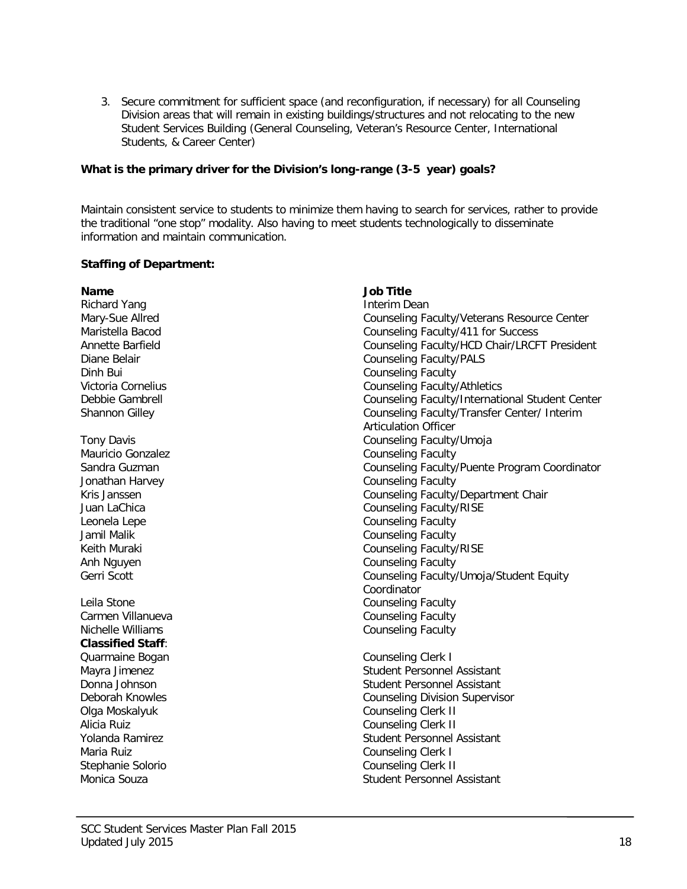3. Secure commitment for sufficient space (and reconfiguration, if necessary) for all Counseling Division areas that will remain in existing buildings/structures and not relocating to the new Student Services Building (General Counseling, Veteran's Resource Center, International Students, & Career Center)

## **What is the primary driver for the Division's long-range (3-5 year) goals?**

Maintain consistent service to students to minimize them having to search for services, rather to provide the traditional "one stop" modality. Also having to meet students technologically to disseminate information and maintain communication.

## **Staffing of Department:**

| <b>Name</b>              | <b>Job Title</b>                                |
|--------------------------|-------------------------------------------------|
| <b>Richard Yang</b>      | <b>Interim Dean</b>                             |
| Mary-Sue Allred          | Counseling Faculty/Veterans Resource Center     |
| Maristella Bacod         | Counseling Faculty/411 for Success              |
| Annette Barfield         | Counseling Faculty/HCD Chair/LRCFT President    |
| Diane Belair             | <b>Counseling Faculty/PALS</b>                  |
| Dinh Bui                 | <b>Counseling Faculty</b>                       |
| Victoria Cornelius       | <b>Counseling Faculty/Athletics</b>             |
| Debbie Gambrell          | Counseling Faculty/International Student Center |
| Shannon Gilley           | Counseling Faculty/Transfer Center/ Interim     |
|                          | <b>Articulation Officer</b>                     |
| <b>Tony Davis</b>        | Counseling Faculty/Umoja                        |
| <b>Mauricio Gonzalez</b> | <b>Counseling Faculty</b>                       |
| Sandra Guzman            | Counseling Faculty/Puente Program Coordinator   |
| Jonathan Harvey          | <b>Counseling Faculty</b>                       |
| Kris Janssen             | Counseling Faculty/Department Chair             |
| Juan LaChica             | Counseling Faculty/RISE                         |
| Leonela Lepe             | <b>Counseling Faculty</b>                       |
| Jamil Malik              | <b>Counseling Faculty</b>                       |
| Keith Muraki             | <b>Counseling Faculty/RISE</b>                  |
| Anh Nguyen               | <b>Counseling Faculty</b>                       |
| Gerri Scott              | Counseling Faculty/Umoja/Student Equity         |
|                          | Coordinator                                     |
| Leila Stone              | <b>Counseling Faculty</b>                       |
| Carmen Villanueva        | <b>Counseling Faculty</b>                       |
| Nichelle Williams        | <b>Counseling Faculty</b>                       |
| <b>Classified Staff:</b> |                                                 |
| Quarmaine Bogan          | Counseling Clerk I                              |
| Mayra Jimenez            | Student Personnel Assistant                     |
| Donna Johnson            | <b>Student Personnel Assistant</b>              |
| Deborah Knowles          | <b>Counseling Division Supervisor</b>           |
| Olga Moskalyuk           | <b>Counseling Clerk II</b>                      |
| Alicia Ruiz              | <b>Counseling Clerk II</b>                      |
| Yolanda Ramirez          | <b>Student Personnel Assistant</b>              |
| Maria Ruiz               | Counseling Clerk I                              |
| Stephanie Solorio        | Counseling Clerk II                             |
| Monica Souza             | <b>Student Personnel Assistant</b>              |
|                          |                                                 |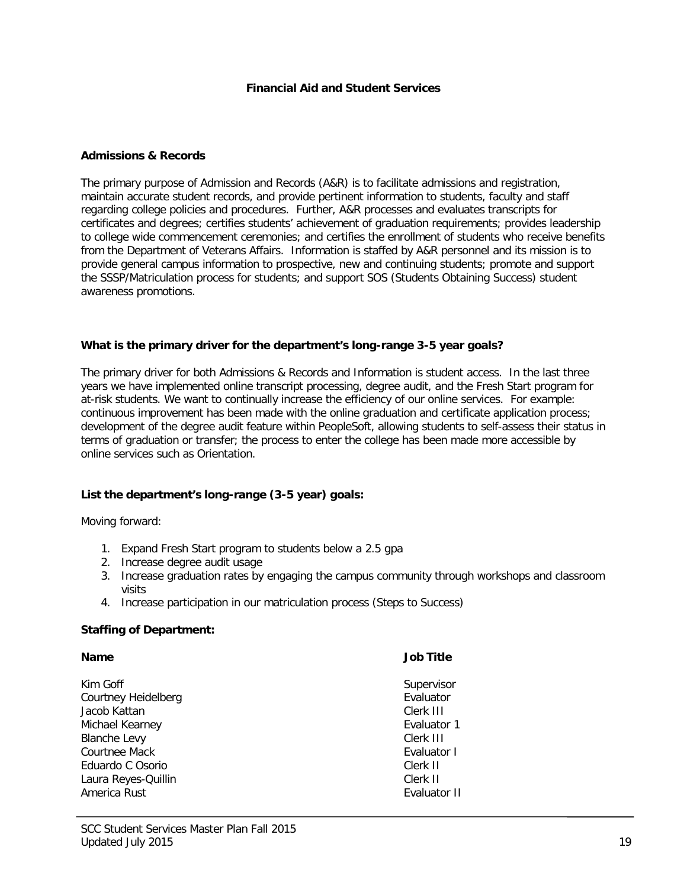#### **Admissions & Records**

The primary purpose of Admission and Records (A&R) is to facilitate admissions and registration, maintain accurate student records, and provide pertinent information to students, faculty and staff regarding college policies and procedures. Further, A&R processes and evaluates transcripts for certificates and degrees; certifies students' achievement of graduation requirements; provides leadership to college wide commencement ceremonies; and certifies the enrollment of students who receive benefits from the Department of Veterans Affairs. Information is staffed by A&R personnel and its mission is to provide general campus information to prospective, new and continuing students; promote and support the SSSP/Matriculation process for students; and support SOS (Students Obtaining Success) student awareness promotions.

## **What is the primary driver for the department's long-range 3-5 year goals?**

The primary driver for both Admissions & Records and Information is student access. In the last three years we have implemented online transcript processing, degree audit, and the Fresh Start program for at-risk students. We want to continually increase the efficiency of our online services. For example: continuous improvement has been made with the online graduation and certificate application process; development of the degree audit feature within PeopleSoft, allowing students to self-assess their status in terms of graduation or transfer; the process to enter the college has been made more accessible by online services such as Orientation.

## **List the department's long-range (3-5 year) goals:**

Moving forward:

- 1. Expand Fresh Start program to students below a 2.5 gpa
- 2. Increase degree audit usage
- 3. Increase graduation rates by engaging the campus community through workshops and classroom visits
- 4. Increase participation in our matriculation process (Steps to Success)

#### **Staffing of Department:**

# **Name Job Title** Kim Goff<br>Courtney Heidelberg National Supervisor<br>Courtney Heidelberg National Supervisor Courtney Heidelberg Evaluator Jacob Kattan Clerk III Michael Kearney Blanche Levy **Clerk III** Courtnee Mack **Evaluator I**<br>
Evaluator I Eduardo C Osorio **I Eduardo C Osorio** Eduardo C. Osorio Laura Reyes-Quillin Clerk II America Rust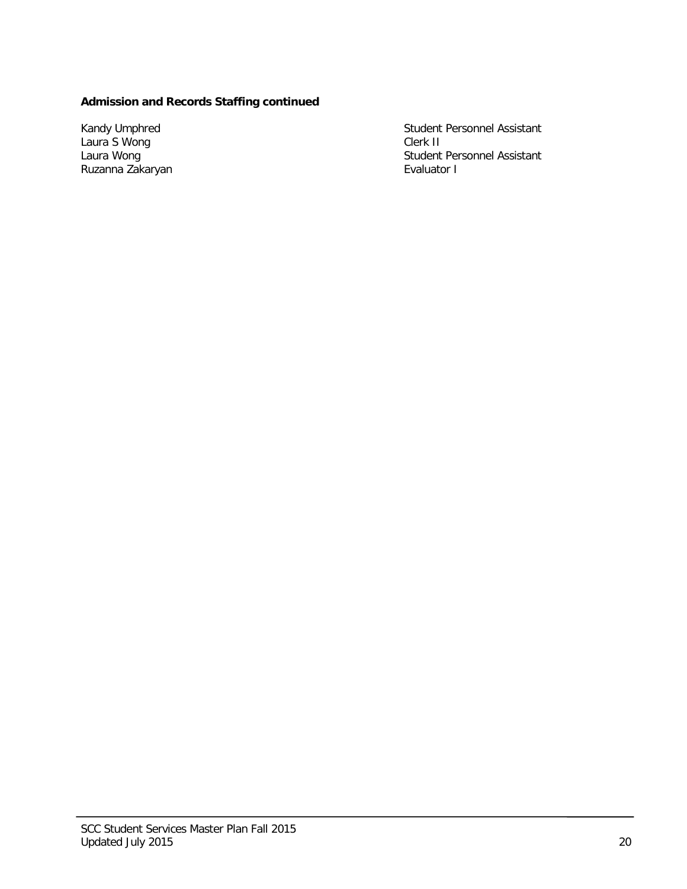# **Admission and Records Staffing continued**

Kandy Umphred<br>Laura S Wong Laura Wong<br>Ruzanna Zakaryan Student Personnel Assistant<br>Clerk II Student Personnel Assistant<br>Evaluator I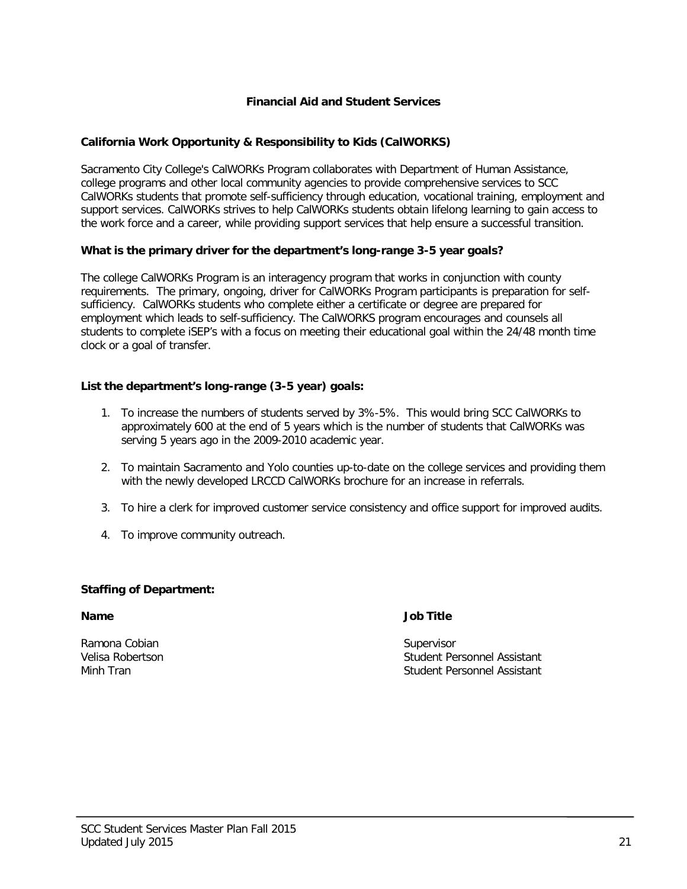## **California Work Opportunity & Responsibility to Kids (CalWORKS)**

Sacramento City College's CalWORKs Program collaborates with Department of Human Assistance, college programs and other local community agencies to provide comprehensive services to SCC CalWORKs students that promote self-sufficiency through education, vocational training, employment and support services. CalWORKs strives to help CalWORKs students obtain lifelong learning to gain access to the work force and a career, while providing support services that help ensure a successful transition.

## **What is the primary driver for the department's long-range 3-5 year goals?**

The college CalWORKs Program is an interagency program that works in conjunction with county requirements. The primary, ongoing, driver for CalWORKs Program participants is preparation for selfsufficiency. CalWORKs students who complete either a certificate or degree are prepared for employment which leads to self-sufficiency. The CalWORKS program encourages and counsels all students to complete iSEP's with a focus on meeting their educational goal within the 24/48 month time clock or a goal of transfer.

## **List the department's long-range (3-5 year) goals:**

- 1. To increase the numbers of students served by 3%-5%. This would bring SCC CalWORKs to approximately 600 at the end of 5 years which is the number of students that CalWORKs was serving 5 years ago in the 2009-2010 academic year.
- 2. To maintain Sacramento and Yolo counties up-to-date on the college services and providing them with the newly developed LRCCD CalWORKs brochure for an increase in referrals.
- 3. To hire a clerk for improved customer service consistency and office support for improved audits.
- 4. To improve community outreach.

## **Staffing of Department:**

**Name Job Title**

Ramona Cobian Supervisor

Velisa Robertson Student Personnel Assistant Student Personnel Assistant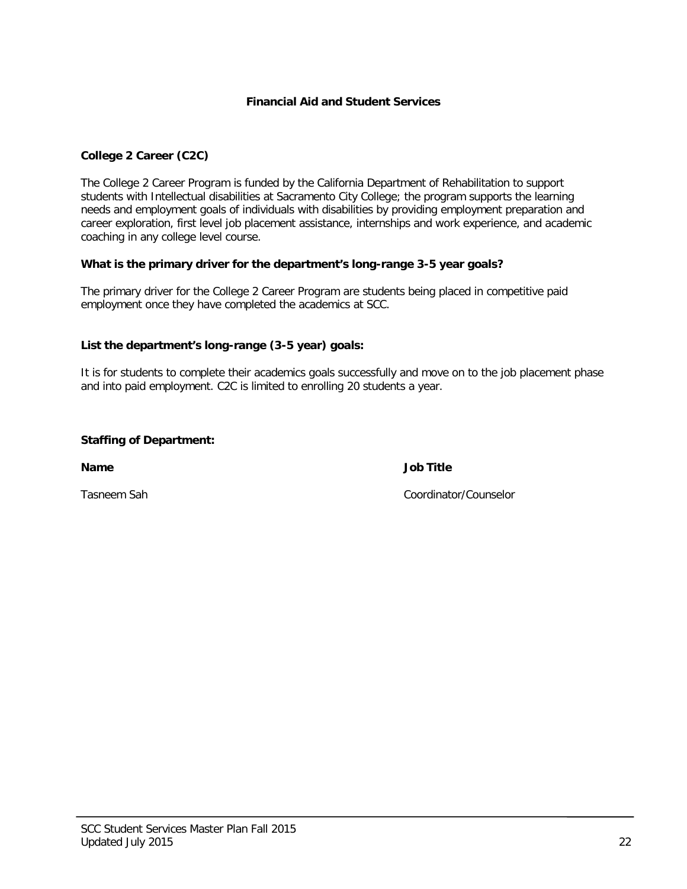## **College 2 Career (C2C)**

The College 2 Career Program is funded by the California Department of Rehabilitation to support students with Intellectual disabilities at Sacramento City College; the program supports the learning needs and employment goals of individuals with disabilities by providing employment preparation and career exploration, first level job placement assistance, internships and work experience, and academic coaching in any college level course.

## **What is the primary driver for the department's long-range 3-5 year goals?**

The primary driver for the College 2 Career Program are students being placed in competitive paid employment once they have completed the academics at SCC.

## **List the department's long-range (3-5 year) goals:**

It is for students to complete their academics goals successfully and move on to the job placement phase and into paid employment. C2C is limited to enrolling 20 students a year.

## **Staffing of Department:**

**Name Job Title**

Tasneem Sah Coordinator/Counselor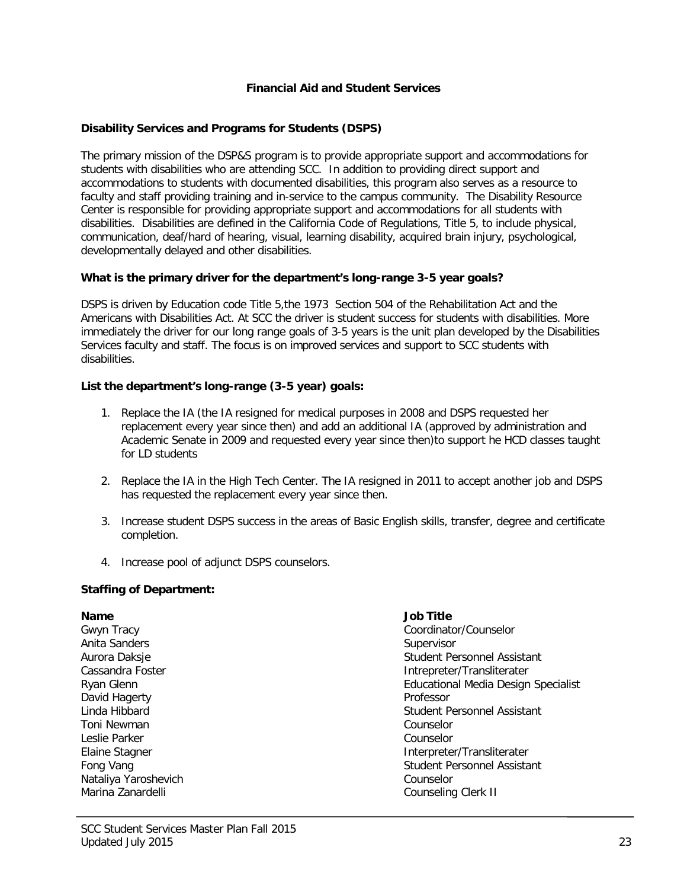## **Disability Services and Programs for Students (DSPS)**

The primary mission of the DSP&S program is to provide appropriate support and accommodations for students with disabilities who are attending SCC. In addition to providing direct support and accommodations to students with documented disabilities, this program also serves as a resource to faculty and staff providing training and in-service to the campus community. The Disability Resource Center is responsible for providing appropriate support and accommodations for all students with disabilities. Disabilities are defined in the California Code of Regulations, Title 5, to include physical, communication, deaf/hard of hearing, visual, learning disability, acquired brain injury, psychological, developmentally delayed and other disabilities.

## **What is the primary driver for the department's long-range 3-5 year goals?**

DSPS is driven by Education code Title 5,the 1973 Section 504 of the Rehabilitation Act and the Americans with Disabilities Act. At SCC the driver is student success for students with disabilities. More immediately the driver for our long range goals of 3-5 years is the unit plan developed by the Disabilities Services faculty and staff. The focus is on improved services and support to SCC students with disabilities.

## **List the department's long-range (3-5 year) goals:**

- 1. Replace the IA (the IA resigned for medical purposes in 2008 and DSPS requested her replacement every year since then) and add an additional IA (approved by administration and Academic Senate in 2009 and requested every year since then)to support he HCD classes taught for LD students
- 2. Replace the IA in the High Tech Center. The IA resigned in 2011 to accept another job and DSPS has requested the replacement every year since then.
- 3. Increase student DSPS success in the areas of Basic English skills, transfer, degree and certificate completion.
- 4. Increase pool of adjunct DSPS counselors.

## **Staffing of Department:**

Anita Sanders Supervisor David Hagerty<br>Linda Hibbard Toni Newman Leslie Parker Counselor Nataliya Yaroshevich<br>
Marina Zanardelli Counselor<br>
Marina Zanardelli Counseling

# **Name Job Title**

Gwyn Tracy Coordinator/Counselor Aurora Daksje<br>Cassandra Foster Student Personnel Assistant<br>Student Personnel Assistant Cassandra Foster Cassandra Foster and The Cassandra Foster and The Cassandra Foster and The Cassandra Foster and The Cassandra<br>Intrepreter/Transliterater<br>Intrepreter/Transliterater Educational Media Design Specialist<br>Professor Student Personnel Assistant<br>Counselor Elaine Stagner **Interpreter/Transliterater** Interpreter/Transliterater Fong Vang Student Personnel Assistant Counseling Clerk II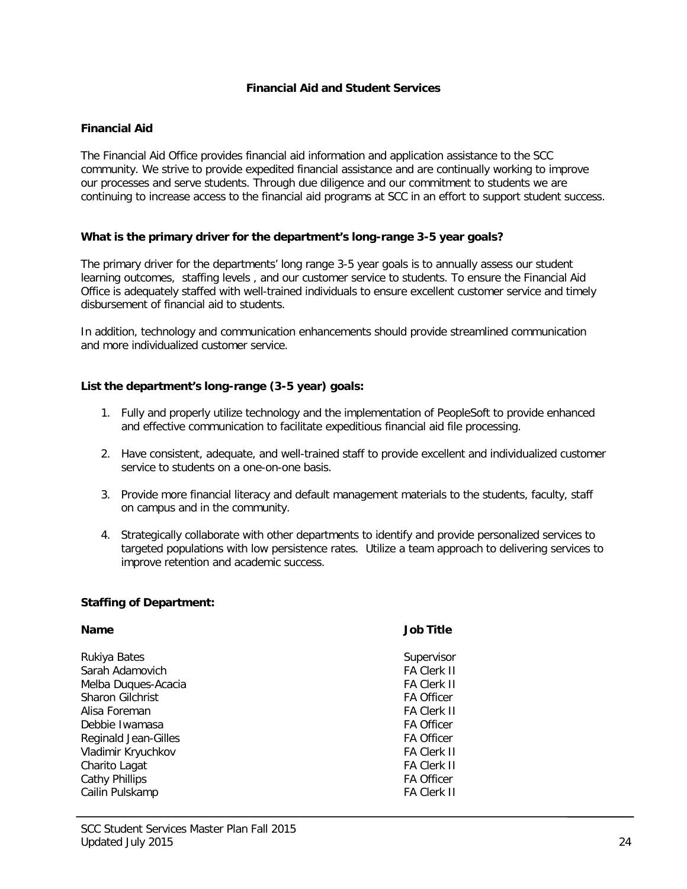## **Financial Aid**

The Financial Aid Office provides financial aid information and application assistance to the SCC community. We strive to provide expedited financial assistance and are continually working to improve our processes and serve students. Through due diligence and our commitment to students we are continuing to increase access to the financial aid programs at SCC in an effort to support student success.

## **What is the primary driver for the department's long-range 3-5 year goals?**

The primary driver for the departments' long range 3-5 year goals is to annually assess our student learning outcomes, staffing levels , and our customer service to students. To ensure the Financial Aid Office is adequately staffed with well-trained individuals to ensure excellent customer service and timely disbursement of financial aid to students.

In addition, technology and communication enhancements should provide streamlined communication and more individualized customer service.

## **List the department's long-range (3-5 year) goals:**

- 1. Fully and properly utilize technology and the implementation of PeopleSoft to provide enhanced and effective communication to facilitate expeditious financial aid file processing.
- 2. Have consistent, adequate, and well-trained staff to provide excellent and individualized customer service to students on a one-on-one basis.
- 3. Provide more financial literacy and default management materials to the students, faculty, staff on campus and in the community.
- 4. Strategically collaborate with other departments to identify and provide personalized services to targeted populations with low persistence rates. Utilize a team approach to delivering services to improve retention and academic success.

## **Staffing of Department:**

| <b>Name</b>                 | <b>Job Title</b>   |
|-----------------------------|--------------------|
| Rukiya Bates                | Supervisor         |
| Sarah Adamovich             | <b>FA Clerk II</b> |
| Melba Duques-Acacia         | <b>FA Clerk II</b> |
| <b>Sharon Gilchrist</b>     | <b>FA Officer</b>  |
| Alisa Foreman               | <b>FA Clerk II</b> |
| Debbie Iwamasa              | <b>FA Officer</b>  |
| <b>Reginald Jean-Gilles</b> | <b>FA Officer</b>  |
| Vladimir Kryuchkov          | <b>FA Clerk II</b> |
| Charito Lagat               | <b>FA Clerk II</b> |
| <b>Cathy Phillips</b>       | <b>FA Officer</b>  |
| Cailin Pulskamp             | <b>FA Clerk II</b> |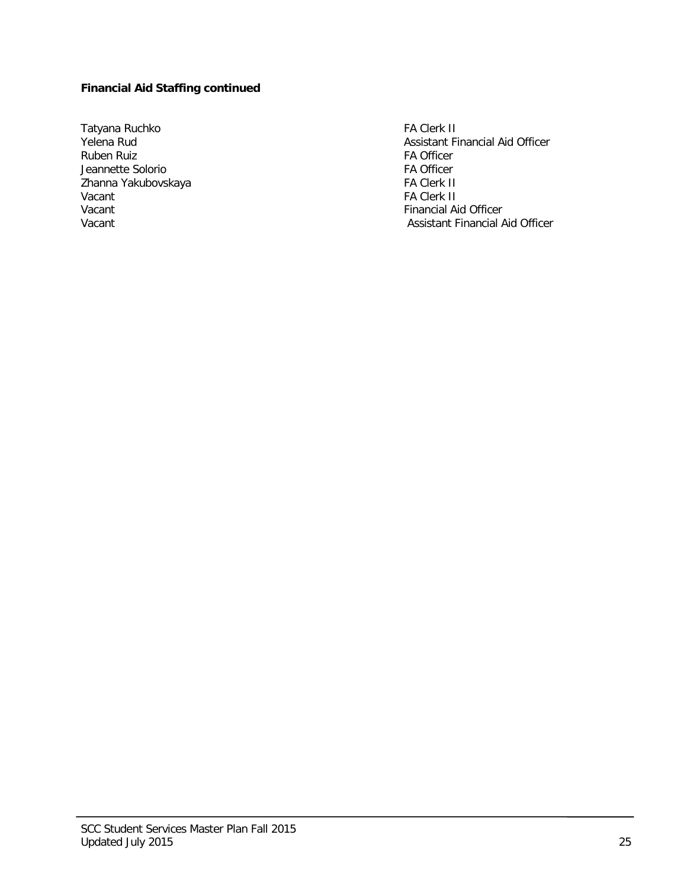# **Financial Aid Staffing continued**

Tatyana Ruchko Karl FA Clerk II (Fa Clerk II Karl Fa Clerk II Karl Fa Clerk II Kasistant Fi Karl Fa Clerk II ( Ruben Ruiz<br>
Jeannette Solorio<br>
FA Officer Jeannette Solorio FA Officer Zhanna Yakubovskaya<br>Vacant Vacant FA Clerk II<br>
Vacant Financial Ai Vacant Vacant Christian Christian Christian Christian Christian Christian Christian Christian Christian Christian Christian Christian Christian Christian Christian Christian Christian Christian Christian Christian Christia

Assistant Financial Aid Officer<br>FA Officer Assistant Financial Aid Officer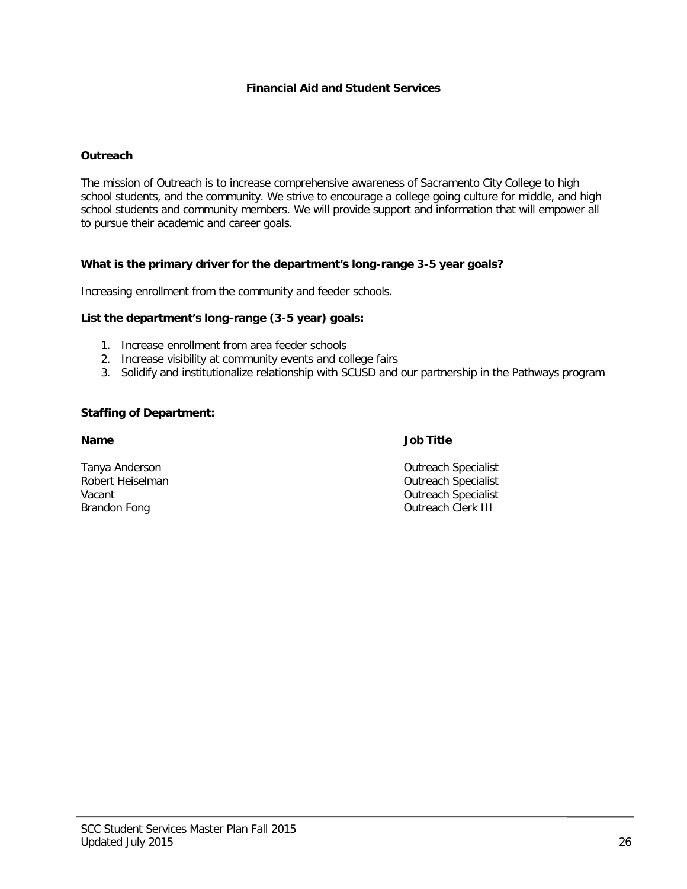## **Outreach**

The mission of Outreach is to increase comprehensive awareness of Sacramento City College to high school students, and the community. We strive to encourage a college going culture for middle, and high school students and community members. We will provide support and information that will empower all to pursue their academic and career goals.

#### **What is the primary driver for the department's long-range 3-5 year goals?**

Increasing enrollment from the community and feeder schools.

## **List the department's long-range (3-5 year) goals:**

- 1. Increase enrollment from area feeder schools
- 2. Increase visibility at community events and college fairs
- 3. Solidify and institutionalize relationship with SCUSD and our partnership in the Pathways program

#### **Staffing of Department:**

#### **Name Job Title**

Tanya Anderson **Calculation Control** Cutreach Specialist<br>
Robert Heiselman **Control Cutreach Specialist**<br>
Outreach Specialist Robert Heiselman and Communications of the Communications of Controllering Controllering Outreach Specialist<br>
Vacant Vacant Vacant Christian Controllering Controllering Controllering Controllering Outreach Specialist<br>
Outreach Clerk III **Outreach Clerk III**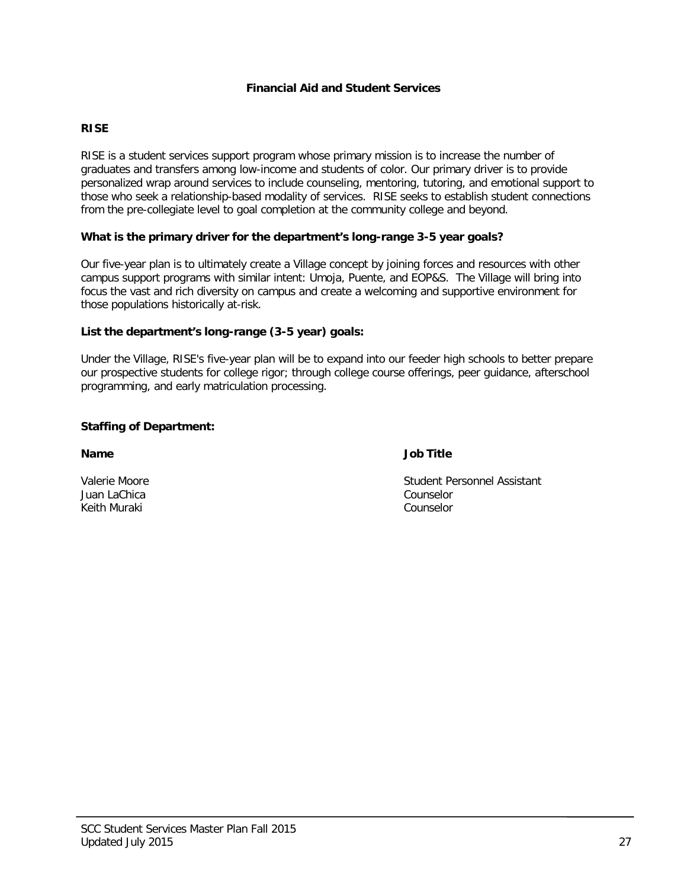## **RISE**

RISE is a student services support program whose primary mission is to increase the number of graduates and transfers among low-income and students of color. Our primary driver is to provide personalized wrap around services to include counseling, mentoring, tutoring, and emotional support to those who seek a relationship-based modality of services. RISE seeks to establish student connections from the pre-collegiate level to goal completion at the community college and beyond.

## **What is the primary driver for the department's long-range 3-5 year goals?**

Our five-year plan is to ultimately create a Village concept by joining forces and resources with other campus support programs with similar intent: Umoja, Puente, and EOP&S. The Village will bring into focus the vast and rich diversity on campus and create a welcoming and supportive environment for those populations historically at-risk.

## **List the department's long-range (3-5 year) goals:**

Under the Village, RISE's five-year plan will be to expand into our feeder high schools to better prepare our prospective students for college rigor; through college course offerings, peer guidance, afterschool programming, and early matriculation processing.

## **Staffing of Department:**

**Name Job Title**

Juan LaChica Counselor Keith Muraki

Valerie Moore<br>
Valerie Moore<br>
Vuan LaChica<br>
Vuan LaChica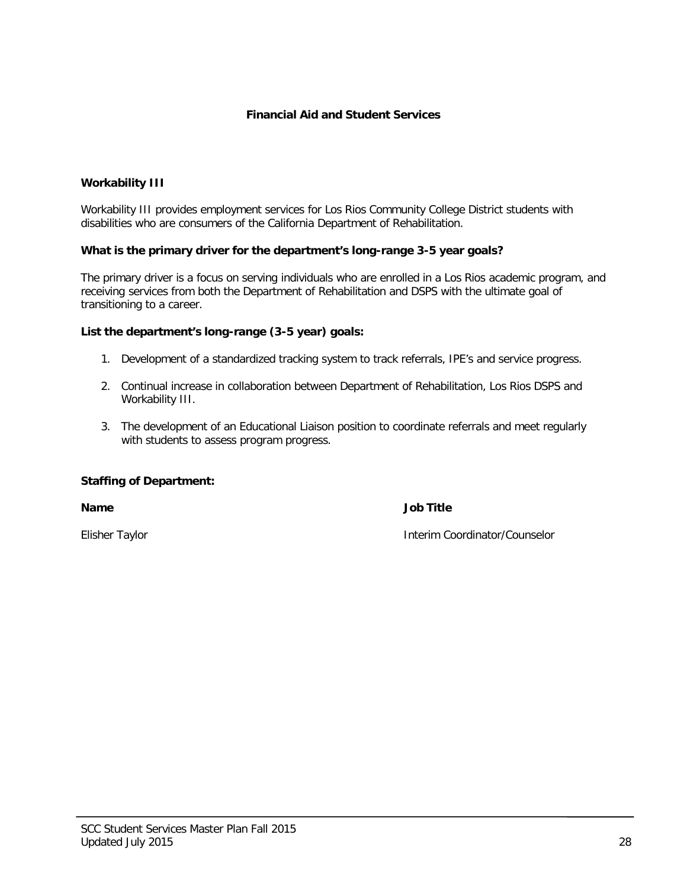## **Workability III**

Workability III provides employment services for Los Rios Community College District students with disabilities who are consumers of the California Department of Rehabilitation.

## **What is the primary driver for the department's long-range 3-5 year goals?**

The primary driver is a focus on serving individuals who are enrolled in a Los Rios academic program, and receiving services from both the Department of Rehabilitation and DSPS with the ultimate goal of transitioning to a career.

#### **List the department's long-range (3-5 year) goals:**

- 1. Development of a standardized tracking system to track referrals, IPE's and service progress.
- 2. Continual increase in collaboration between Department of Rehabilitation, Los Rios DSPS and Workability III.
- 3. The development of an Educational Liaison position to coordinate referrals and meet regularly with students to assess program progress.

## **Staffing of Department:**

**Name Job Title**

Elisher Taylor Interim Coordinator/Counselor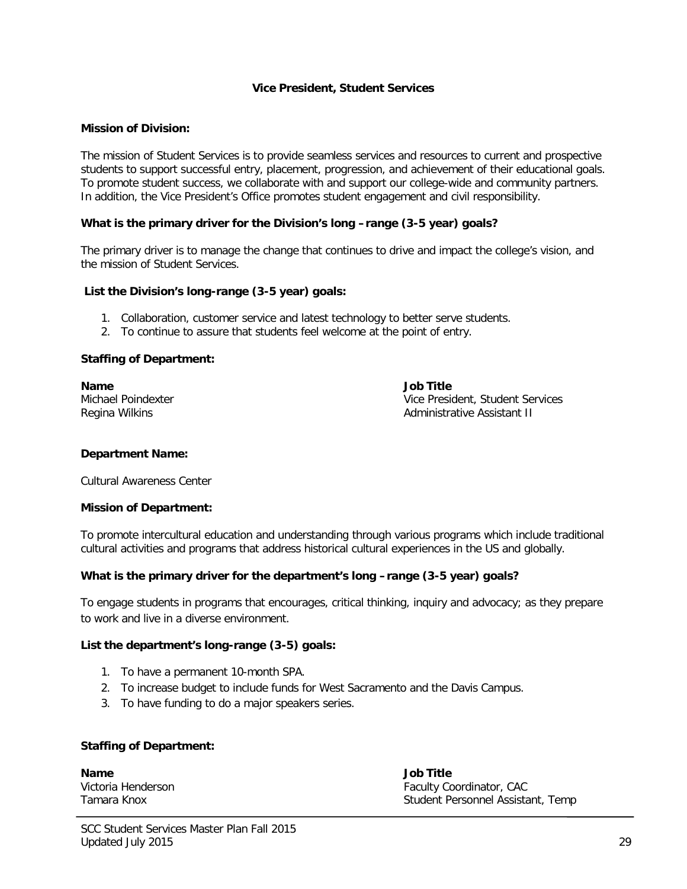#### **Vice President, Student Services**

#### **Mission of Division:**

The mission of Student Services is to provide seamless services and resources to current and prospective students to support successful entry, placement, progression, and achievement of their educational goals. To promote student success, we collaborate with and support our college-wide and community partners. In addition, the Vice President's Office promotes student engagement and civil responsibility.

#### **What is the primary driver for the Division's long –range (3-5 year) goals?**

The primary driver is to manage the change that continues to drive and impact the college's vision, and the mission of Student Services.

#### **List the Division's long-range (3-5 year) goals:**

- 1. Collaboration, customer service and latest technology to better serve students.
- 2. To continue to assure that students feel welcome at the point of entry.

#### **Staffing of Department:**

**Name Job Title**

Michael Poindexter and The Vice President, Student Services<br>
Regina Wilkins<br>
Regina Wilkins Administrative Assistant II

#### **Department Name:**

Cultural Awareness Center

#### **Mission of Department:**

To promote intercultural education and understanding through various programs which include traditional cultural activities and programs that address historical cultural experiences in the US and globally.

## **What is the primary driver for the department's long –range (3-5 year) goals?**

To engage students in programs that encourages, critical thinking, inquiry and advocacy; as they prepare to work and live in a diverse environment.

#### **List the department's long-range (3-5) goals:**

- 1. To have a permanent 10-month SPA.
- 2. To increase budget to include funds for West Sacramento and the Davis Campus.
- 3. To have funding to do a major speakers series.

#### **Staffing of Department:**

**Name Job Title**

Victoria Henderson **Faculty Coordinator, CAC** Tamara Knox Student Personnel Assistant, Temp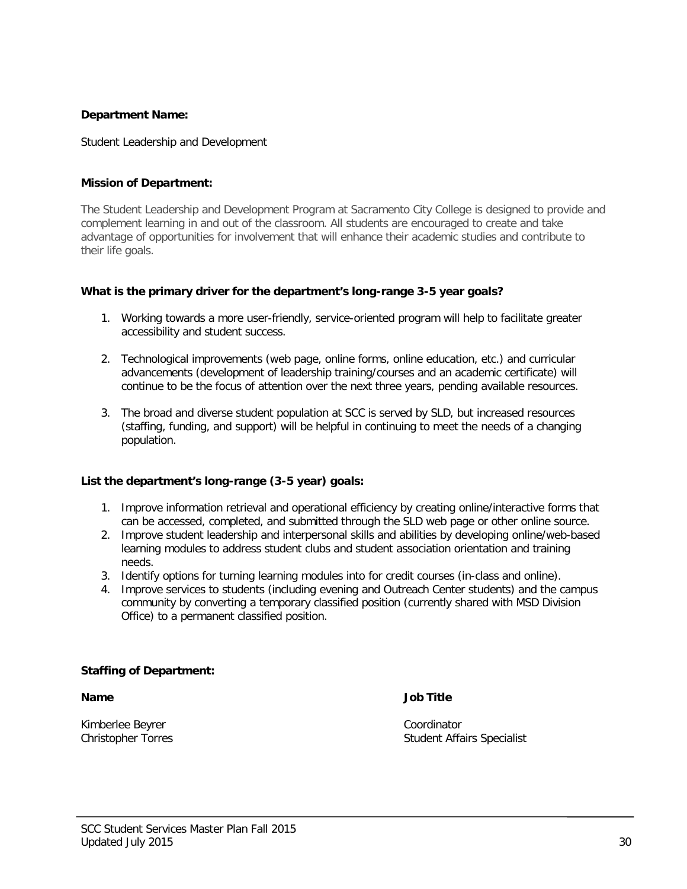## **Department Name:**

Student Leadership and Development

## **Mission of Department:**

The Student Leadership and Development Program at Sacramento City College is designed to provide and complement learning in and out of the classroom. All students are encouraged to create and take advantage of opportunities for involvement that will enhance their academic studies and contribute to their life goals.

## **What is the primary driver for the department's long-range 3-5 year goals?**

- 1. Working towards a more user-friendly, service-oriented program will help to facilitate greater accessibility and student success.
- 2. Technological improvements (web page, online forms, online education, etc.) and curricular advancements (development of leadership training/courses and an academic certificate) will continue to be the focus of attention over the next three years, pending available resources.
- 3. The broad and diverse student population at SCC is served by SLD, but increased resources (staffing, funding, and support) will be helpful in continuing to meet the needs of a changing population.

## **List the department's long-range (3-5 year) goals:**

- 1. Improve information retrieval and operational efficiency by creating online/interactive forms that can be accessed, completed, and submitted through the SLD web page or other online source.
- 2. Improve student leadership and interpersonal skills and abilities by developing online/web-based learning modules to address student clubs and student association orientation and training needs.
- 3. Identify options for turning learning modules into for credit courses (in-class and online).
- 4. Improve services to students (including evening and Outreach Center students) and the campus community by converting a temporary classified position (currently shared with MSD Division Office) to a permanent classified position.

## **Staffing of Department:**

Kimberlee Beyrer Coordinator

**Name Job Title**

Christopher Torres **Student Affairs Specialist** Christopher Torres Student Affairs Specialist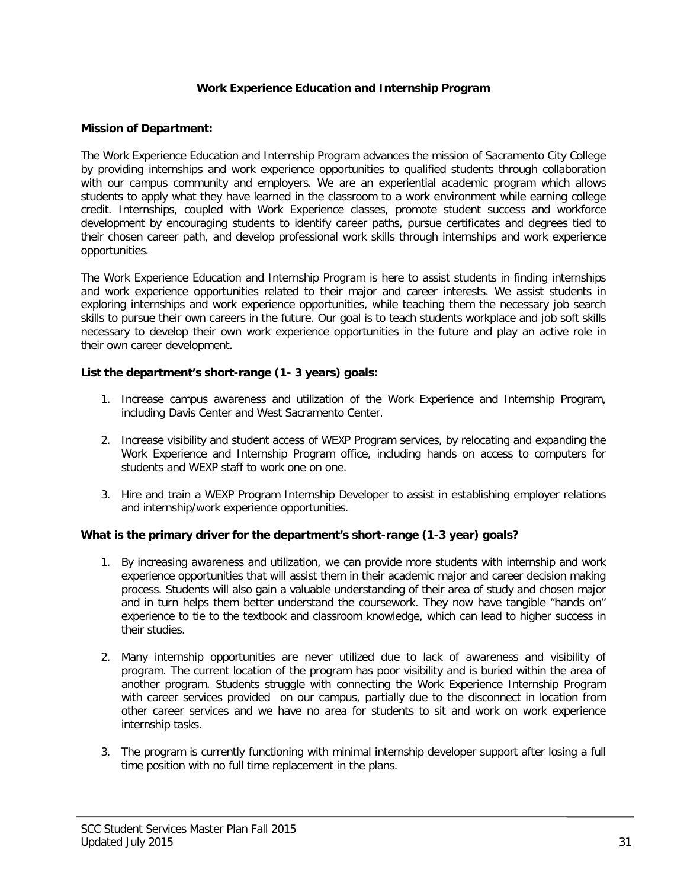## **Work Experience Education and Internship Program**

## **Mission of Department:**

The Work Experience Education and Internship Program advances the mission of Sacramento City College by providing internships and work experience opportunities to qualified students through collaboration with our campus community and employers. We are an experiential academic program which allows students to apply what they have learned in the classroom to a work environment while earning college credit. Internships, coupled with Work Experience classes, promote student success and workforce development by encouraging students to identify career paths, pursue certificates and degrees tied to their chosen career path, and develop professional work skills through internships and work experience opportunities.

The Work Experience Education and Internship Program is here to assist students in finding internships and work experience opportunities related to their major and career interests. We assist students in exploring internships and work experience opportunities, while teaching them the necessary job search skills to pursue their own careers in the future. Our goal is to teach students workplace and job soft skills necessary to develop their own work experience opportunities in the future and play an active role in their own career development.

## **List the department's short-range (1- 3 years) goals:**

- 1. Increase campus awareness and utilization of the Work Experience and Internship Program, including Davis Center and West Sacramento Center.
- 2. Increase visibility and student access of WEXP Program services, by relocating and expanding the Work Experience and Internship Program office, including hands on access to computers for students and WEXP staff to work one on one.
- 3. Hire and train a WEXP Program Internship Developer to assist in establishing employer relations and internship/work experience opportunities.

## **What is the primary driver for the department's short-range (1-3 year) goals?**

- 1. By increasing awareness and utilization, we can provide more students with internship and work experience opportunities that will assist them in their academic major and career decision making process. Students will also gain a valuable understanding of their area of study and chosen major and in turn helps them better understand the coursework. They now have tangible "hands on" experience to tie to the textbook and classroom knowledge, which can lead to higher success in their studies.
- 2. Many internship opportunities are never utilized due to lack of awareness and visibility of program. The current location of the program has poor visibility and is buried within the area of another program. Students struggle with connecting the Work Experience Internship Program with career services provided on our campus, partially due to the disconnect in location from other career services and we have no area for students to sit and work on work experience internship tasks.
- 3. The program is currently functioning with minimal internship developer support after losing a full time position with no full time replacement in the plans.